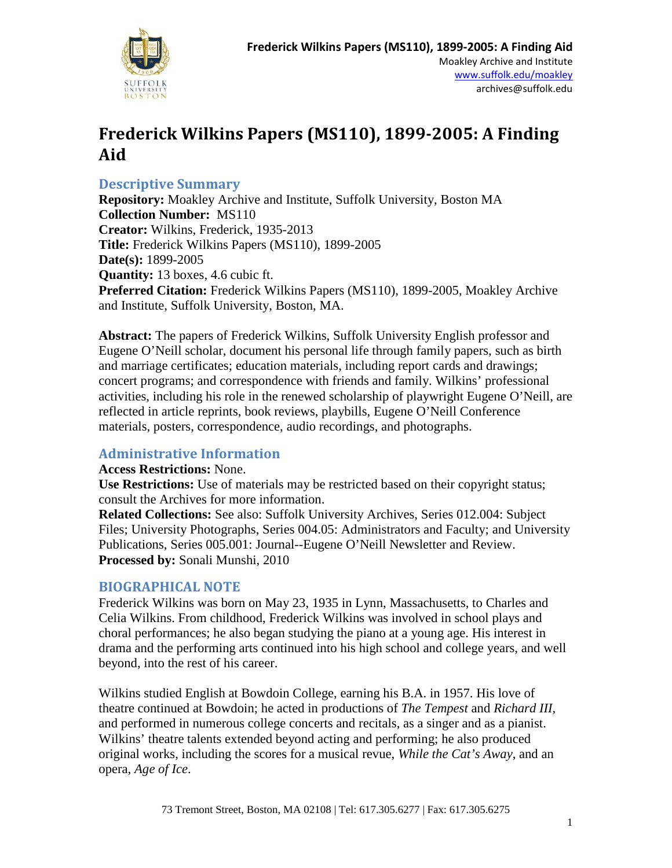

## **Descriptive Summary**

**Repository:** Moakley Archive and Institute, Suffolk University, Boston MA **Collection Number:** MS110 **Creator:** Wilkins, Frederick, 1935-2013 **Title:** Frederick Wilkins Papers (MS110), 1899-2005 **Date(s):** 1899-2005 **Quantity:** 13 boxes, 4.6 cubic ft. **Preferred Citation:** Frederick Wilkins Papers (MS110), 1899-2005, Moakley Archive and Institute, Suffolk University, Boston, MA.

**Abstract:** The papers of Frederick Wilkins, Suffolk University English professor and Eugene O'Neill scholar, document his personal life through family papers, such as birth and marriage certificates; education materials, including report cards and drawings; concert programs; and correspondence with friends and family. Wilkins' professional activities, including his role in the renewed scholarship of playwright Eugene O'Neill, are reflected in article reprints, book reviews, playbills, Eugene O'Neill Conference materials, posters, correspondence, audio recordings, and photographs.

#### **Administrative Information**

#### **Access Restrictions:** None.

**Use Restrictions:** Use of materials may be restricted based on their copyright status; consult the Archives for more information.

**Related Collections:** See also: Suffolk University Archives, Series 012.004: Subject Files; University Photographs, Series 004.05: Administrators and Faculty; and University Publications, Series 005.001: Journal--Eugene O'Neill Newsletter and Review. **Processed by:** Sonali Munshi, 2010

#### **BIOGRAPHICAL NOTE**

Frederick Wilkins was born on May 23, 1935 in Lynn, Massachusetts, to Charles and Celia Wilkins. From childhood, Frederick Wilkins was involved in school plays and choral performances; he also began studying the piano at a young age. His interest in drama and the performing arts continued into his high school and college years, and well beyond, into the rest of his career.

Wilkins studied English at Bowdoin College, earning his B.A. in 1957. His love of theatre continued at Bowdoin; he acted in productions of *The Tempest* and *Richard III*, and performed in numerous college concerts and recitals, as a singer and as a pianist. Wilkins' theatre talents extended beyond acting and performing; he also produced original works, including the scores for a musical revue, *While the Cat's Away*, and an opera, *Age of Ice*.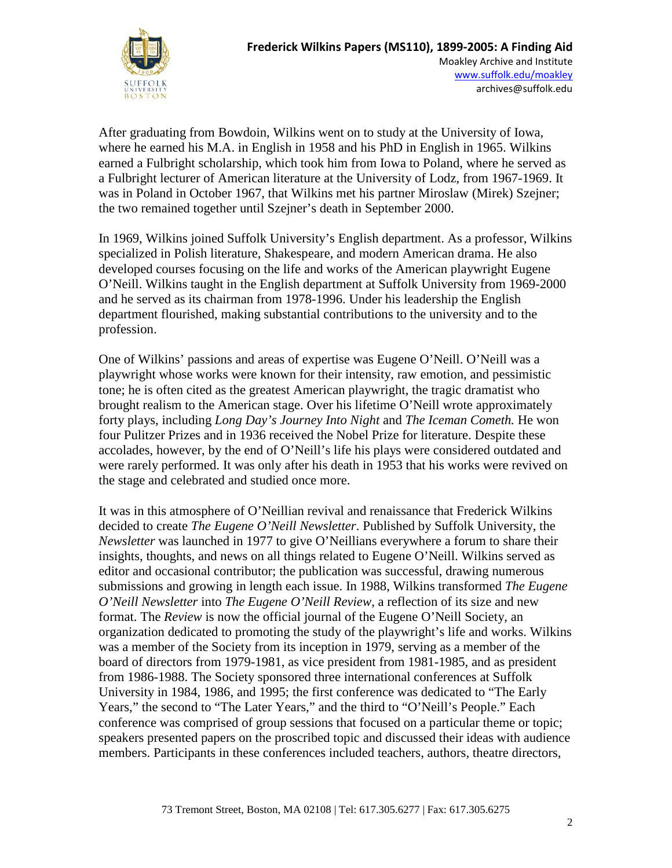

After graduating from Bowdoin, Wilkins went on to study at the University of Iowa, where he earned his M.A. in English in 1958 and his PhD in English in 1965. Wilkins earned a Fulbright scholarship, which took him from Iowa to Poland, where he served as a Fulbright lecturer of American literature at the University of Lodz, from 1967-1969. It was in Poland in October 1967, that Wilkins met his partner Miroslaw (Mirek) Szejner; the two remained together until Szejner's death in September 2000.

In 1969, Wilkins joined Suffolk University's English department. As a professor, Wilkins specialized in Polish literature, Shakespeare, and modern American drama. He also developed courses focusing on the life and works of the American playwright Eugene O'Neill. Wilkins taught in the English department at Suffolk University from 1969-2000 and he served as its chairman from 1978-1996. Under his leadership the English department flourished, making substantial contributions to the university and to the profession.

One of Wilkins' passions and areas of expertise was Eugene O'Neill. O'Neill was a playwright whose works were known for their intensity, raw emotion, and pessimistic tone; he is often cited as the greatest American playwright, the tragic dramatist who brought realism to the American stage. Over his lifetime O'Neill wrote approximately forty plays, including *Long Day's Journey Into Night* and *The Iceman Cometh.* He won four Pulitzer Prizes and in 1936 received the Nobel Prize for literature. Despite these accolades, however, by the end of O'Neill's life his plays were considered outdated and were rarely performed. It was only after his death in 1953 that his works were revived on the stage and celebrated and studied once more.

It was in this atmosphere of O'Neillian revival and renaissance that Frederick Wilkins decided to create *The Eugene O'Neill Newsletter*. Published by Suffolk University, the *Newsletter* was launched in 1977 to give O'Neillians everywhere a forum to share their insights, thoughts, and news on all things related to Eugene O'Neill. Wilkins served as editor and occasional contributor; the publication was successful, drawing numerous submissions and growing in length each issue. In 1988, Wilkins transformed *The Eugene O'Neill Newsletter* into *The Eugene O'Neill Review*, a reflection of its size and new format. The *Review* is now the official journal of the Eugene O'Neill Society, an organization dedicated to promoting the study of the playwright's life and works. Wilkins was a member of the Society from its inception in 1979, serving as a member of the board of directors from 1979-1981, as vice president from 1981-1985, and as president from 1986-1988. The Society sponsored three international conferences at Suffolk University in 1984, 1986, and 1995; the first conference was dedicated to "The Early Years," the second to "The Later Years," and the third to "O'Neill's People." Each conference was comprised of group sessions that focused on a particular theme or topic; speakers presented papers on the proscribed topic and discussed their ideas with audience members. Participants in these conferences included teachers, authors, theatre directors,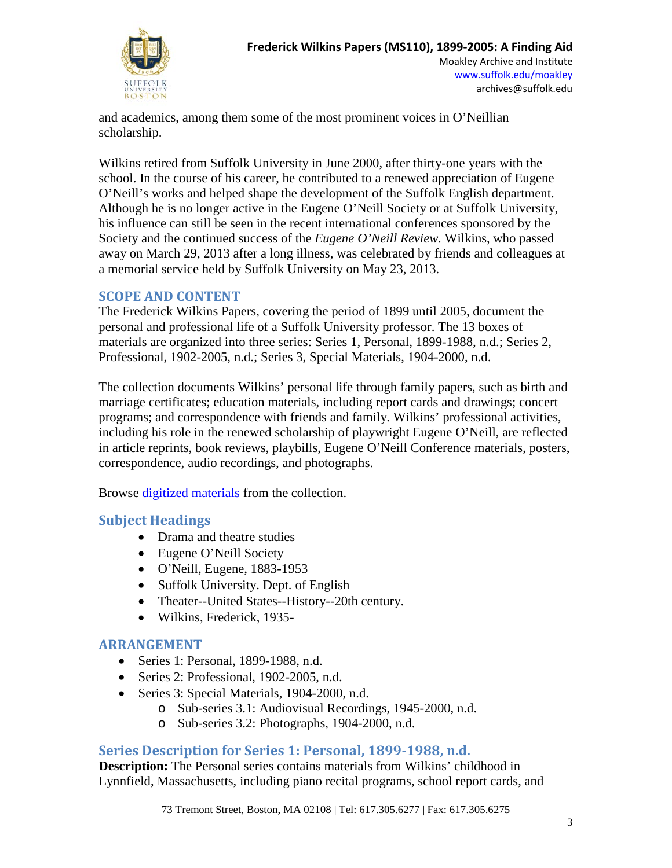

and academics, among them some of the most prominent voices in O'Neillian scholarship.

Wilkins retired from Suffolk University in June 2000, after thirty-one years with the school. In the course of his career, he contributed to a renewed appreciation of Eugene O'Neill's works and helped shape the development of the Suffolk English department. Although he is no longer active in the Eugene O'Neill Society or at Suffolk University, his influence can still be seen in the recent international conferences sponsored by the Society and the continued success of the *Eugene O'Neill Review.* Wilkins, who passed away on March 29, 2013 after a long illness, was celebrated by friends and colleagues at a memorial service held by Suffolk University on May 23, 2013.

## **SCOPE AND CONTENT**

The Frederick Wilkins Papers, covering the period of 1899 until 2005, document the personal and professional life of a Suffolk University professor. The 13 boxes of materials are organized into three series: Series 1, Personal, 1899-1988, n.d.; Series 2, Professional, 1902-2005, n.d.; Series 3, Special Materials, 1904-2000, n.d.

The collection documents Wilkins' personal life through family papers, such as birth and marriage certificates; education materials, including report cards and drawings; concert programs; and correspondence with friends and family. Wilkins' professional activities, including his role in the renewed scholarship of playwright Eugene O'Neill, are reflected in article reprints, book reviews, playbills, Eugene O'Neill Conference materials, posters, correspondence, audio recordings, and photographs.

Browse [digitized materials](http://moakleyarchive.omeka.net/collections/show/4) from the collection.

## **Subject Headings**

- Drama and theatre studies
- Eugene O'Neill Society
- O'Neill, Eugene, 1883-1953
- Suffolk University. Dept. of English
- Theater--United States--History--20th century.
- Wilkins, Frederick, 1935-

## **ARRANGEMENT**

- Series 1: Personal, 1899-1988, n.d.
- Series 2: Professional, 1902-2005, n.d.
- Series 3: Special Materials, 1904-2000, n.d.
	- o Sub-series 3.1: Audiovisual Recordings, 1945-2000, n.d.
	- o Sub-series 3.2: Photographs, 1904-2000, n.d.

## **Series Description for Series 1: Personal, 1899-1988, n.d.**

**Description:** The Personal series contains materials from Wilkins' childhood in Lynnfield, Massachusetts, including piano recital programs, school report cards, and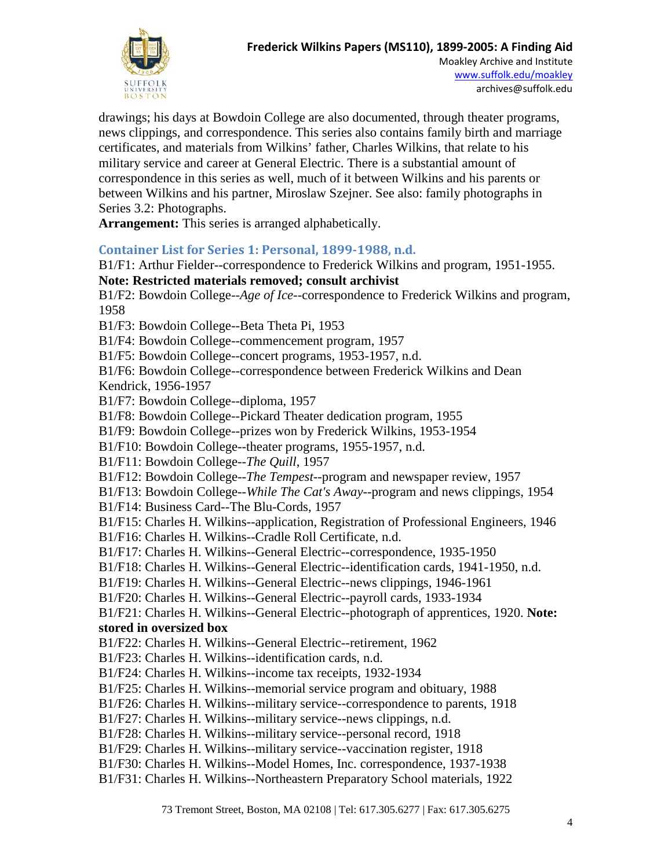

drawings; his days at Bowdoin College are also documented, through theater programs, news clippings, and correspondence. This series also contains family birth and marriage certificates, and materials from Wilkins' father, Charles Wilkins, that relate to his military service and career at General Electric. There is a substantial amount of correspondence in this series as well, much of it between Wilkins and his parents or between Wilkins and his partner, Miroslaw Szejner. See also: family photographs in Series 3.2: Photographs.

**Arrangement:** This series is arranged alphabetically.

#### **Container List for Series 1: Personal, 1899-1988, n.d.**

B1/F1: Arthur Fielder--correspondence to Frederick Wilkins and program, 1951-1955. **Note: Restricted materials removed; consult archivist** B1/F2: Bowdoin College--*Age of Ice--*correspondence to Frederick Wilkins and program, 1958 B1/F3: Bowdoin College--Beta Theta Pi, 1953 B1/F4: Bowdoin College--commencement program, 1957 B1/F5: Bowdoin College--concert programs, 1953-1957, n.d. B1/F6: Bowdoin College--correspondence between Frederick Wilkins and Dean Kendrick, 1956-1957 B1/F7: Bowdoin College--diploma, 1957 B1/F8: Bowdoin College--Pickard Theater dedication program, 1955 B1/F9: Bowdoin College--prizes won by Frederick Wilkins, 1953-1954 B1/F10: Bowdoin College--theater programs, 1955-1957, n.d. B1/F11: Bowdoin College--*The Quill*, 1957 B1/F12: Bowdoin College--*The Tempest*--program and newspaper review, 1957 B1/F13: Bowdoin College--*While The Cat's Away*--program and news clippings, 1954 B1/F14: Business Card--The Blu-Cords, 1957 B1/F15: Charles H. Wilkins--application, Registration of Professional Engineers, 1946 B1/F16: Charles H. Wilkins--Cradle Roll Certificate, n.d. B1/F17: Charles H. Wilkins--General Electric--correspondence, 1935-1950 B1/F18: Charles H. Wilkins--General Electric--identification cards, 1941-1950, n.d. B1/F19: Charles H. Wilkins--General Electric--news clippings, 1946-1961 B1/F20: Charles H. Wilkins--General Electric--payroll cards, 1933-1934 B1/F21: Charles H. Wilkins--General Electric--photograph of apprentices, 1920. **Note: stored in oversized box** B1/F22: Charles H. Wilkins--General Electric--retirement, 1962 B1/F23: Charles H. Wilkins--identification cards, n.d. B1/F24: Charles H. Wilkins--income tax receipts, 1932-1934 B1/F25: Charles H. Wilkins--memorial service program and obituary, 1988 B1/F26: Charles H. Wilkins--military service--correspondence to parents, 1918 B1/F27: Charles H. Wilkins--military service--news clippings, n.d. B1/F28: Charles H. Wilkins--military service--personal record, 1918 B1/F29: Charles H. Wilkins--military service--vaccination register, 1918 B1/F30: Charles H. Wilkins--Model Homes, Inc. correspondence, 1937-1938 B1/F31: Charles H. Wilkins--Northeastern Preparatory School materials, 1922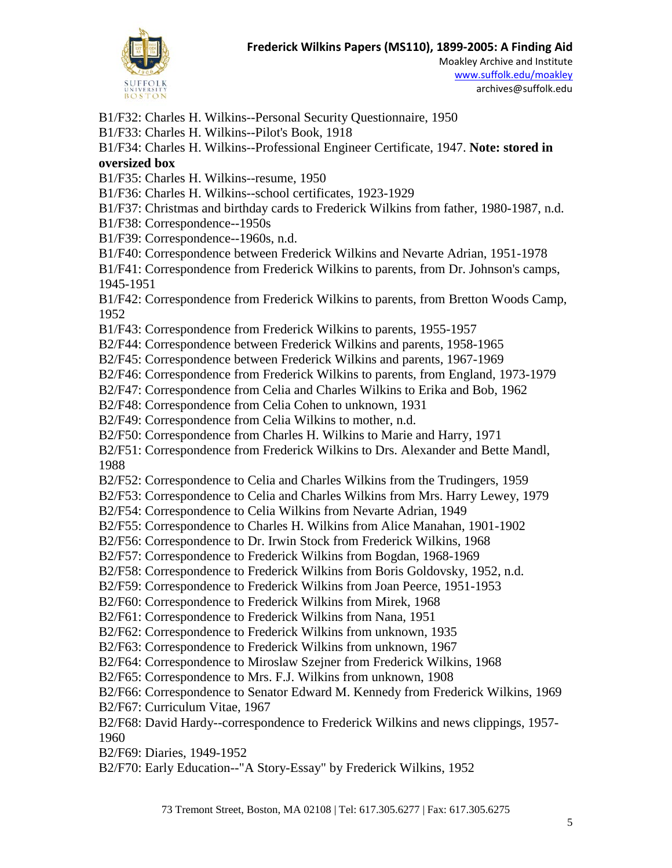

Moakley Archive and Institute [www.suffolk.edu/moakley](file://svr-lawfile/Ahome$/archive/Collection%20Management/Collections/Manuscript%20Collection%20Records/(MS%20110)%20Frederick%20Wilkins%20Papers/www.suffolk.edu/moakley) archives@suffolk.edu

B1/F32: Charles H. Wilkins--Personal Security Questionnaire, 1950

B1/F33: Charles H. Wilkins--Pilot's Book, 1918

B1/F34: Charles H. Wilkins--Professional Engineer Certificate, 1947. **Note: stored in oversized box**

B1/F35: Charles H. Wilkins--resume, 1950

B1/F36: Charles H. Wilkins--school certificates, 1923-1929

B1/F37: Christmas and birthday cards to Frederick Wilkins from father, 1980-1987, n.d.

B1/F38: Correspondence--1950s

B1/F39: Correspondence--1960s, n.d.

B1/F40: Correspondence between Frederick Wilkins and Nevarte Adrian, 1951-1978

B1/F41: Correspondence from Frederick Wilkins to parents, from Dr. Johnson's camps, 1945-1951

B1/F42: Correspondence from Frederick Wilkins to parents, from Bretton Woods Camp, 1952

B1/F43: Correspondence from Frederick Wilkins to parents, 1955-1957

B2/F44: Correspondence between Frederick Wilkins and parents, 1958-1965

B2/F45: Correspondence between Frederick Wilkins and parents, 1967-1969

B2/F46: Correspondence from Frederick Wilkins to parents, from England, 1973-1979

B2/F47: Correspondence from Celia and Charles Wilkins to Erika and Bob, 1962

B2/F48: Correspondence from Celia Cohen to unknown, 1931

B2/F49: Correspondence from Celia Wilkins to mother, n.d.

B2/F50: Correspondence from Charles H. Wilkins to Marie and Harry, 1971

B2/F51: Correspondence from Frederick Wilkins to Drs. Alexander and Bette Mandl, 1988

B2/F52: Correspondence to Celia and Charles Wilkins from the Trudingers, 1959

B2/F53: Correspondence to Celia and Charles Wilkins from Mrs. Harry Lewey, 1979

B2/F54: Correspondence to Celia Wilkins from Nevarte Adrian, 1949

B2/F55: Correspondence to Charles H. Wilkins from Alice Manahan, 1901-1902

B2/F56: Correspondence to Dr. Irwin Stock from Frederick Wilkins, 1968

B2/F57: Correspondence to Frederick Wilkins from Bogdan, 1968-1969

B2/F58: Correspondence to Frederick Wilkins from Boris Goldovsky, 1952, n.d.

B2/F59: Correspondence to Frederick Wilkins from Joan Peerce, 1951-1953

B2/F60: Correspondence to Frederick Wilkins from Mirek, 1968

B2/F61: Correspondence to Frederick Wilkins from Nana, 1951

B2/F62: Correspondence to Frederick Wilkins from unknown, 1935

B2/F63: Correspondence to Frederick Wilkins from unknown, 1967

B2/F64: Correspondence to Miroslaw Szejner from Frederick Wilkins, 1968

B2/F65: Correspondence to Mrs. F.J. Wilkins from unknown, 1908

B2/F66: Correspondence to Senator Edward M. Kennedy from Frederick Wilkins, 1969

B2/F67: Curriculum Vitae, 1967

B2/F68: David Hardy--correspondence to Frederick Wilkins and news clippings, 1957- 1960

B2/F69: Diaries, 1949-1952

B2/F70: Early Education--"A Story-Essay" by Frederick Wilkins, 1952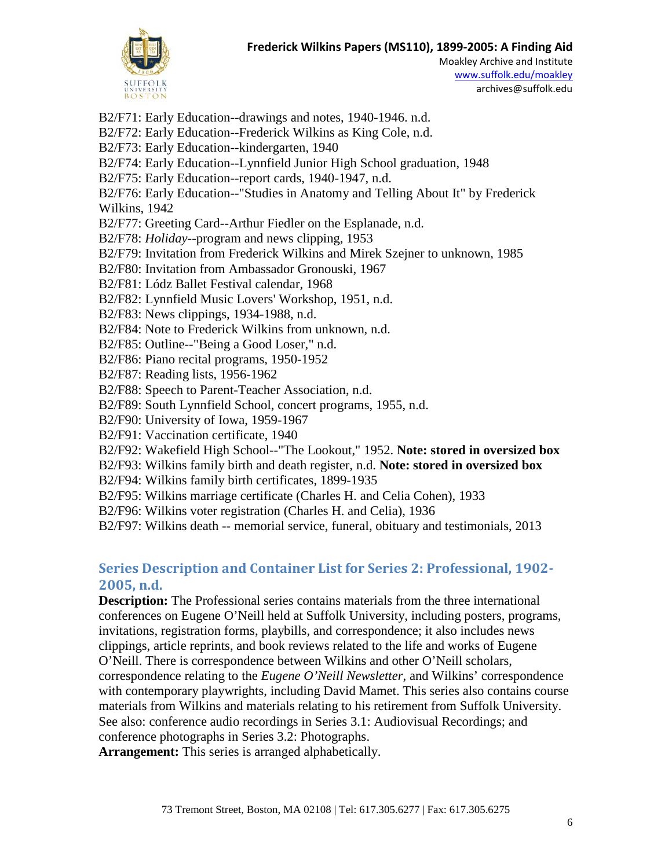

Moakley Archive and Institute [www.suffolk.edu/moakley](file://svr-lawfile/Ahome$/archive/Collection%20Management/Collections/Manuscript%20Collection%20Records/(MS%20110)%20Frederick%20Wilkins%20Papers/www.suffolk.edu/moakley) archives@suffolk.edu

B2/F71: Early Education--drawings and notes, 1940-1946. n.d. B2/F72: Early Education--Frederick Wilkins as King Cole, n.d. B2/F73: Early Education--kindergarten, 1940 B2/F74: Early Education--Lynnfield Junior High School graduation, 1948 B2/F75: Early Education--report cards, 1940-1947, n.d. B2/F76: Early Education--"Studies in Anatomy and Telling About It" by Frederick Wilkins, 1942 B2/F77: Greeting Card--Arthur Fiedler on the Esplanade, n.d. B2/F78: *Holiday*--program and news clipping, 1953 B2/F79: Invitation from Frederick Wilkins and Mirek Szejner to unknown, 1985 B2/F80: Invitation from Ambassador Gronouski, 1967 B2/F81: Lódz Ballet Festival calendar, 1968 B2/F82: Lynnfield Music Lovers' Workshop, 1951, n.d. B2/F83: News clippings, 1934-1988, n.d. B2/F84: Note to Frederick Wilkins from unknown, n.d. B2/F85: Outline--"Being a Good Loser," n.d. B2/F86: Piano recital programs, 1950-1952 B2/F87: Reading lists, 1956-1962 B2/F88: Speech to Parent-Teacher Association, n.d. B2/F89: South Lynnfield School, concert programs, 1955, n.d. B2/F90: University of Iowa, 1959-1967 B2/F91: Vaccination certificate, 1940 B2/F92: Wakefield High School--"The Lookout," 1952. **Note: stored in oversized box** B2/F93: Wilkins family birth and death register, n.d. **Note: stored in oversized box** B2/F94: Wilkins family birth certificates, 1899-1935 B2/F95: Wilkins marriage certificate (Charles H. and Celia Cohen), 1933 B2/F96: Wilkins voter registration (Charles H. and Celia), 1936 B2/F97: Wilkins death -- memorial service, funeral, obituary and testimonials, 2013

# **Series Description and Container List for Series 2: Professional, 1902- 2005, n.d.**

**Description:** The Professional series contains materials from the three international conferences on Eugene O'Neill held at Suffolk University, including posters, programs, invitations, registration forms, playbills, and correspondence; it also includes news clippings, article reprints, and book reviews related to the life and works of Eugene O'Neill. There is correspondence between Wilkins and other O'Neill scholars, correspondence relating to the *Eugene O'Neill Newsletter*, and Wilkins' correspondence with contemporary playwrights, including David Mamet. This series also contains course materials from Wilkins and materials relating to his retirement from Suffolk University. See also: conference audio recordings in Series 3.1: Audiovisual Recordings; and conference photographs in Series 3.2: Photographs.

**Arrangement:** This series is arranged alphabetically.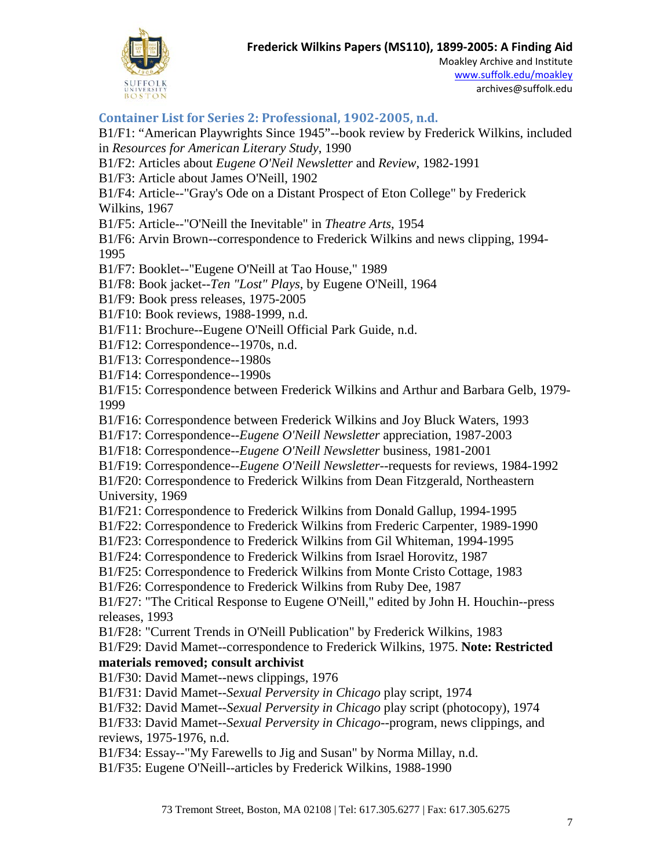

Moakley Archive and Institute [www.suffolk.edu/moakley](file://svr-lawfile/Ahome$/archive/Collection%20Management/Collections/Manuscript%20Collection%20Records/(MS%20110)%20Frederick%20Wilkins%20Papers/www.suffolk.edu/moakley) archives@suffolk.edu

#### **Container List for Series 2: Professional, 1902-2005, n.d.**

B1/F1: "American Playwrights Since 1945"--book review by Frederick Wilkins, included in *Resources for American Literary Study*, 1990

B1/F2: Articles about *Eugene O'Neil Newsletter* and *Review*, 1982-1991

B1/F3: Article about James O'Neill, 1902

B1/F4: Article--"Gray's Ode on a Distant Prospect of Eton College" by Frederick Wilkins, 1967

B1/F5: Article--"O'Neill the Inevitable" in *Theatre Arts*, 1954

B1/F6: Arvin Brown--correspondence to Frederick Wilkins and news clipping, 1994- 1995

B1/F7: Booklet--"Eugene O'Neill at Tao House," 1989

B1/F8: Book jacket--*Ten "Lost" Plays*, by Eugene O'Neill, 1964

B1/F9: Book press releases, 1975-2005

B1/F10: Book reviews, 1988-1999, n.d.

B1/F11: Brochure--Eugene O'Neill Official Park Guide, n.d.

B1/F12: Correspondence--1970s, n.d.

B1/F13: Correspondence--1980s

B1/F14: Correspondence--1990s

B1/F15: Correspondence between Frederick Wilkins and Arthur and Barbara Gelb, 1979- 1999

B1/F16: Correspondence between Frederick Wilkins and Joy Bluck Waters, 1993

B1/F17: Correspondence--*Eugene O'Neill Newsletter* appreciation, 1987-2003

B1/F18: Correspondence--*Eugene O'Neill Newsletter* business, 1981-2001

B1/F19: Correspondence--*Eugene O'Neill Newsletter*--requests for reviews, 1984-1992

B1/F20: Correspondence to Frederick Wilkins from Dean Fitzgerald, Northeastern University, 1969

B1/F21: Correspondence to Frederick Wilkins from Donald Gallup, 1994-1995

B1/F22: Correspondence to Frederick Wilkins from Frederic Carpenter, 1989-1990

B1/F23: Correspondence to Frederick Wilkins from Gil Whiteman, 1994-1995

B1/F24: Correspondence to Frederick Wilkins from Israel Horovitz, 1987

B1/F25: Correspondence to Frederick Wilkins from Monte Cristo Cottage, 1983

B1/F26: Correspondence to Frederick Wilkins from Ruby Dee, 1987

B1/F27: "The Critical Response to Eugene O'Neill," edited by John H. Houchin--press releases, 1993

B1/F28: "Current Trends in O'Neill Publication" by Frederick Wilkins, 1983

B1/F29: David Mamet--correspondence to Frederick Wilkins, 1975. **Note: Restricted materials removed; consult archivist**

B1/F30: David Mamet--news clippings, 1976

B1/F31: David Mamet--*Sexual Perversity in Chicago* play script, 1974

B1/F32: David Mamet--*Sexual Perversity in Chicago* play script (photocopy), 1974

B1/F33: David Mamet--*Sexual Perversity in Chicago*--program, news clippings, and reviews, 1975-1976, n.d.

B1/F34: Essay--"My Farewells to Jig and Susan" by Norma Millay, n.d.

B1/F35: Eugene O'Neill--articles by Frederick Wilkins, 1988-1990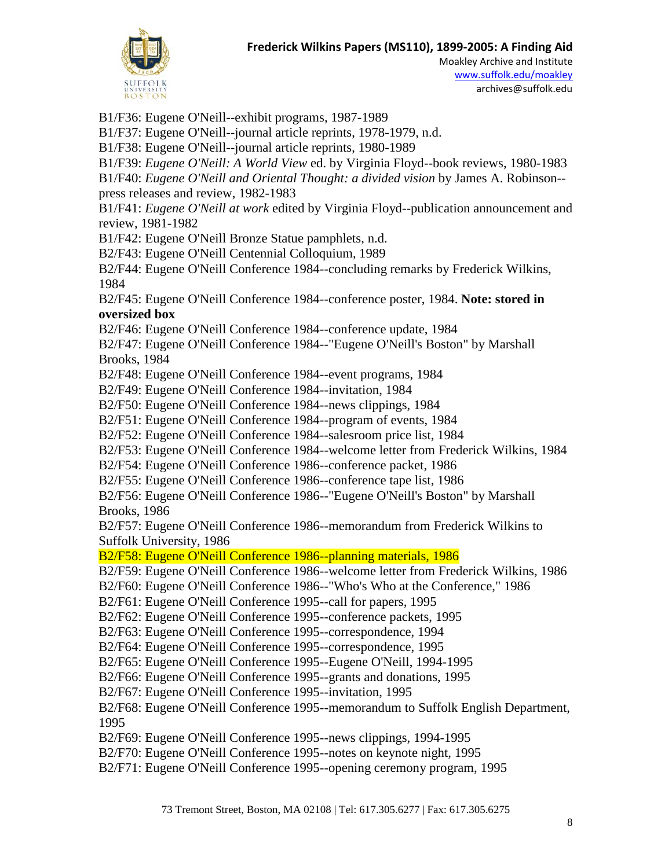

Moakley Archive and Institute [www.suffolk.edu/moakley](file://svr-lawfile/Ahome$/archive/Collection%20Management/Collections/Manuscript%20Collection%20Records/(MS%20110)%20Frederick%20Wilkins%20Papers/www.suffolk.edu/moakley) archives@suffolk.edu

B1/F36: Eugene O'Neill--exhibit programs, 1987-1989 B1/F37: Eugene O'Neill--journal article reprints, 1978-1979, n.d. B1/F38: Eugene O'Neill--journal article reprints, 1980-1989 B1/F39: *Eugene O'Neill: A World View* ed. by Virginia Floyd--book reviews, 1980-1983 B1/F40: *Eugene O'Neill and Oriental Thought: a divided vision* by James A. Robinson- press releases and review, 1982-1983 B1/F41: *Eugene O'Neill at work* edited by Virginia Floyd--publication announcement and review, 1981-1982 B1/F42: Eugene O'Neill Bronze Statue pamphlets, n.d. B2/F43: Eugene O'Neill Centennial Colloquium, 1989 B2/F44: Eugene O'Neill Conference 1984--concluding remarks by Frederick Wilkins, 1984 B2/F45: Eugene O'Neill Conference 1984--conference poster, 1984. **Note: stored in oversized box** B2/F46: Eugene O'Neill Conference 1984--conference update, 1984 B2/F47: Eugene O'Neill Conference 1984--"Eugene O'Neill's Boston" by Marshall Brooks, 1984 B2/F48: Eugene O'Neill Conference 1984--event programs, 1984 B2/F49: Eugene O'Neill Conference 1984--invitation, 1984 B2/F50: Eugene O'Neill Conference 1984--news clippings, 1984 B2/F51: Eugene O'Neill Conference 1984--program of events, 1984 B2/F52: Eugene O'Neill Conference 1984--salesroom price list, 1984 B2/F53: Eugene O'Neill Conference 1984--welcome letter from Frederick Wilkins, 1984 B2/F54: Eugene O'Neill Conference 1986--conference packet, 1986 B2/F55: Eugene O'Neill Conference 1986--conference tape list, 1986 B2/F56: Eugene O'Neill Conference 1986--"Eugene O'Neill's Boston" by Marshall Brooks, 1986 B2/F57: Eugene O'Neill Conference 1986--memorandum from Frederick Wilkins to Suffolk University, 1986 B2/F58: Eugene O'Neill Conference 1986--planning materials, 1986 B2/F59: Eugene O'Neill Conference 1986--welcome letter from Frederick Wilkins, 1986 B2/F60: Eugene O'Neill Conference 1986--"Who's Who at the Conference," 1986 B2/F61: Eugene O'Neill Conference 1995--call for papers, 1995 B2/F62: Eugene O'Neill Conference 1995--conference packets, 1995 B2/F63: Eugene O'Neill Conference 1995--correspondence, 1994 B2/F64: Eugene O'Neill Conference 1995--correspondence, 1995 B2/F65: Eugene O'Neill Conference 1995--Eugene O'Neill, 1994-1995 B2/F66: Eugene O'Neill Conference 1995--grants and donations, 1995 B2/F67: Eugene O'Neill Conference 1995--invitation, 1995 B2/F68: Eugene O'Neill Conference 1995--memorandum to Suffolk English Department, 1995 B2/F69: Eugene O'Neill Conference 1995--news clippings, 1994-1995 B2/F70: Eugene O'Neill Conference 1995--notes on keynote night, 1995 B2/F71: Eugene O'Neill Conference 1995--opening ceremony program, 1995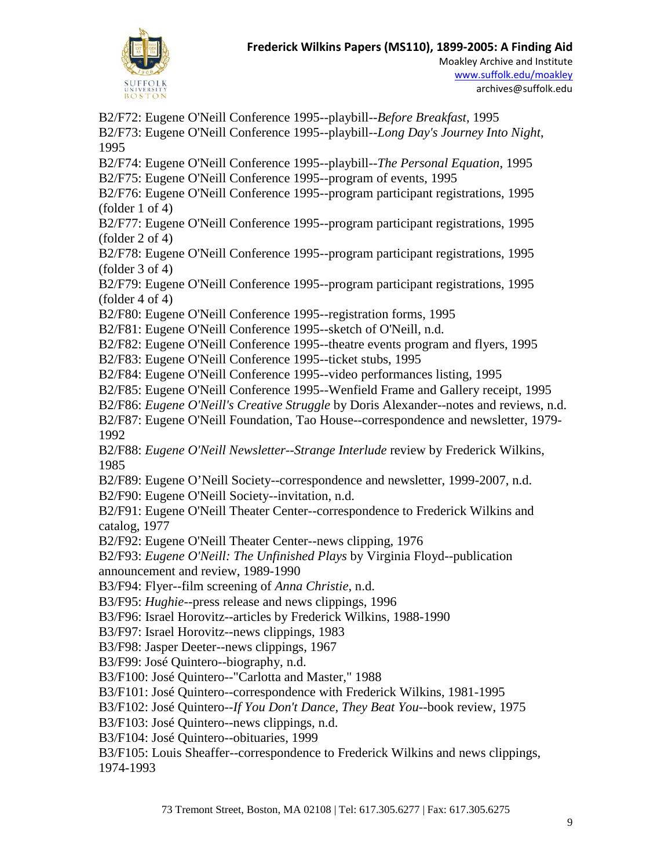

B2/F72: Eugene O'Neill Conference 1995--playbill--*Before Breakfast*, 1995 B2/F73: Eugene O'Neill Conference 1995--playbill--*Long Day's Journey Into Night*, 1995 B2/F74: Eugene O'Neill Conference 1995--playbill--*The Personal Equation*, 1995 B2/F75: Eugene O'Neill Conference 1995--program of events, 1995 B2/F76: Eugene O'Neill Conference 1995--program participant registrations, 1995 (folder 1 of 4) B2/F77: Eugene O'Neill Conference 1995--program participant registrations, 1995 (folder 2 of 4) B2/F78: Eugene O'Neill Conference 1995--program participant registrations, 1995 (folder 3 of 4) B2/F79: Eugene O'Neill Conference 1995--program participant registrations, 1995  $(folder 4 of 4)$ B2/F80: Eugene O'Neill Conference 1995--registration forms, 1995 B2/F81: Eugene O'Neill Conference 1995--sketch of O'Neill, n.d. B2/F82: Eugene O'Neill Conference 1995--theatre events program and flyers, 1995 B2/F83: Eugene O'Neill Conference 1995--ticket stubs, 1995 B2/F84: Eugene O'Neill Conference 1995--video performances listing, 1995 B2/F85: Eugene O'Neill Conference 1995--Wenfield Frame and Gallery receipt, 1995 B2/F86: *Eugene O'Neill's Creative Struggle* by Doris Alexander--notes and reviews, n.d. B2/F87: Eugene O'Neill Foundation, Tao House--correspondence and newsletter, 1979- 1992 B2/F88: *Eugene O'Neill Newsletter*--*Strange Interlude* review by Frederick Wilkins, 1985 B2/F89: Eugene O'Neill Society--correspondence and newsletter, 1999-2007, n.d. B2/F90: Eugene O'Neill Society--invitation, n.d. B2/F91: Eugene O'Neill Theater Center--correspondence to Frederick Wilkins and catalog, 1977 B2/F92: Eugene O'Neill Theater Center--news clipping, 1976 B2/F93: *Eugene O'Neill: The Unfinished Plays* by Virginia Floyd--publication announcement and review, 1989-1990 B3/F94: Flyer--film screening of *Anna Christie*, n.d. B3/F95: *Hughie*--press release and news clippings, 1996 B3/F96: Israel Horovitz--articles by Frederick Wilkins, 1988-1990 B3/F97: Israel Horovitz--news clippings, 1983 B3/F98: Jasper Deeter--news clippings, 1967 B3/F99: José Quintero--biography, n.d. B3/F100: José Quintero--"Carlotta and Master," 1988 B3/F101: José Quintero--correspondence with Frederick Wilkins, 1981-1995 B3/F102: José Quintero--*If You Don't Dance, They Beat You*--book review, 1975 B3/F103: José Quintero--news clippings, n.d. B3/F104: José Quintero--obituaries, 1999 B3/F105: Louis Sheaffer--correspondence to Frederick Wilkins and news clippings,

1974-1993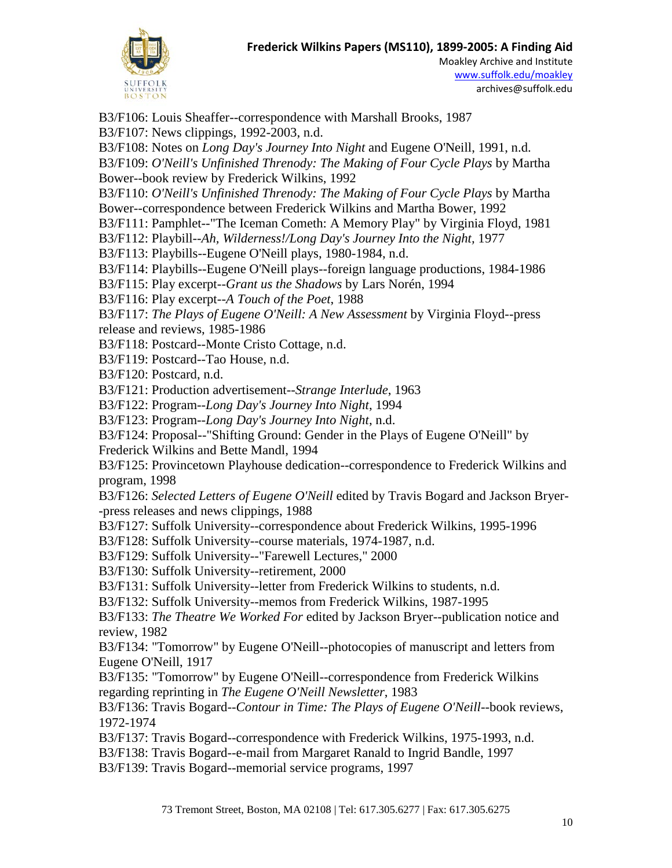

B3/F106: Louis Sheaffer--correspondence with Marshall Brooks, 1987 B3/F107: News clippings, 1992-2003, n.d. B3/F108: Notes on *Long Day's Journey Into Night* and Eugene O'Neill, 1991, n.d. B3/F109: *O'Neill's Unfinished Threnody: The Making of Four Cycle Plays* by Martha Bower--book review by Frederick Wilkins, 1992 B3/F110: *O'Neill's Unfinished Threnody: The Making of Four Cycle Plays* by Martha Bower--correspondence between Frederick Wilkins and Martha Bower, 1992 B3/F111: Pamphlet--"The Iceman Cometh: A Memory Play" by Virginia Floyd, 1981 B3/F112: Playbill--*Ah, Wilderness!/Long Day's Journey Into the Night,* 1977 B3/F113: Playbills--Eugene O'Neill plays, 1980-1984, n.d. B3/F114: Playbills--Eugene O'Neill plays--foreign language productions, 1984-1986 B3/F115: Play excerpt--*Grant us the Shadows* by Lars Norén, 1994 B3/F116: Play excerpt--*A Touch of the Poet*, 1988 B3/F117: *The Plays of Eugene O'Neill: A New Assessment* by Virginia Floyd--press release and reviews, 1985-1986 B3/F118: Postcard--Monte Cristo Cottage, n.d. B3/F119: Postcard--Tao House, n.d. B3/F120: Postcard, n.d. B3/F121: Production advertisement--*Strange Interlude*, 1963 B3/F122: Program--*Long Day's Journey Into Night*, 1994 B3/F123: Program--*Long Day's Journey Into Night*, n.d. B3/F124: Proposal--"Shifting Ground: Gender in the Plays of Eugene O'Neill" by Frederick Wilkins and Bette Mandl, 1994 B3/F125: Provincetown Playhouse dedication--correspondence to Frederick Wilkins and program, 1998 B3/F126: *Selected Letters of Eugene O'Neill* edited by Travis Bogard and Jackson Bryer- -press releases and news clippings, 1988 B3/F127: Suffolk University--correspondence about Frederick Wilkins, 1995-1996 B3/F128: Suffolk University--course materials, 1974-1987, n.d. B3/F129: Suffolk University--"Farewell Lectures," 2000 B3/F130: Suffolk University--retirement, 2000 B3/F131: Suffolk University--letter from Frederick Wilkins to students, n.d. B3/F132: Suffolk University--memos from Frederick Wilkins, 1987-1995 B3/F133: *The Theatre We Worked For* edited by Jackson Bryer--publication notice and review, 1982 B3/F134: "Tomorrow" by Eugene O'Neill--photocopies of manuscript and letters from Eugene O'Neill, 1917 B3/F135: "Tomorrow" by Eugene O'Neill--correspondence from Frederick Wilkins regarding reprinting in *The Eugene O'Neill Newsletter*, 1983 B3/F136: Travis Bogard--*Contour in Time: The Plays of Eugene O'Neill*--book reviews, 1972-1974 B3/F137: Travis Bogard--correspondence with Frederick Wilkins, 1975-1993, n.d. B3/F138: Travis Bogard--e-mail from Margaret Ranald to Ingrid Bandle, 1997 B3/F139: Travis Bogard--memorial service programs, 1997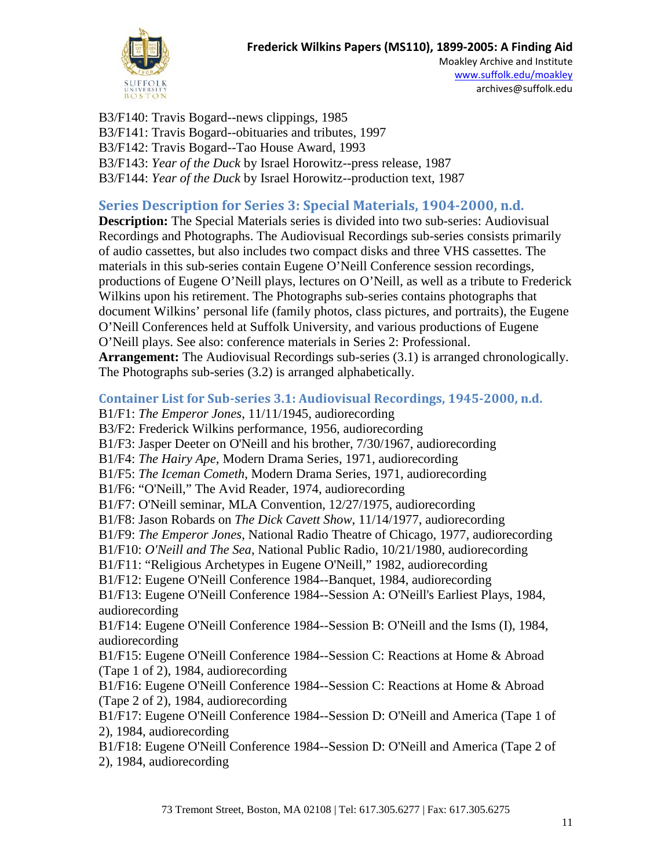

Moakley Archive and Institute [www.suffolk.edu/moakley](file://svr-lawfile/Ahome$/archive/Collection%20Management/Collections/Manuscript%20Collection%20Records/(MS%20110)%20Frederick%20Wilkins%20Papers/www.suffolk.edu/moakley) archives@suffolk.edu

B3/F140: Travis Bogard--news clippings, 1985 B3/F141: Travis Bogard--obituaries and tributes, 1997 B3/F142: Travis Bogard--Tao House Award, 1993 B3/F143: *Year of the Duck* by Israel Horowitz--press release, 1987 B3/F144: *Year of the Duck* by Israel Horowitz--production text, 1987

## **Series Description for Series 3: Special Materials, 1904-2000, n.d.**

**Description:** The Special Materials series is divided into two sub-series: Audiovisual Recordings and Photographs. The Audiovisual Recordings sub-series consists primarily of audio cassettes, but also includes two compact disks and three VHS cassettes. The materials in this sub-series contain Eugene O'Neill Conference session recordings, productions of Eugene O'Neill plays, lectures on O'Neill, as well as a tribute to Frederick Wilkins upon his retirement. The Photographs sub-series contains photographs that document Wilkins' personal life (family photos, class pictures, and portraits), the Eugene O'Neill Conferences held at Suffolk University, and various productions of Eugene O'Neill plays. See also: conference materials in Series 2: Professional. **Arrangement:** The Audiovisual Recordings sub-series (3.1) is arranged chronologically. The Photographs sub-series (3.2) is arranged alphabetically.

#### **Container List for Sub-series 3.1: Audiovisual Recordings, 1945-2000, n.d.**

B1/F1: *The Emperor Jones*, 11/11/1945, audiorecording B3/F2: Frederick Wilkins performance, 1956, audiorecording B1/F3: Jasper Deeter on O'Neill and his brother, 7/30/1967, audiorecording B1/F4: *The Hairy Ape*, Modern Drama Series, 1971, audiorecording B1/F5: *The Iceman Cometh*, Modern Drama Series, 1971, audiorecording B1/F6: "O'Neill," The Avid Reader, 1974, audiorecording B1/F7: O'Neill seminar, MLA Convention, 12/27/1975, audiorecording B1/F8: Jason Robards on *The Dick Cavett Show*, 11/14/1977, audiorecording B1/F9: *The Emperor Jones*, National Radio Theatre of Chicago, 1977, audiorecording B1/F10: *O'Neill and The Sea*, National Public Radio, 10/21/1980, audiorecording B1/F11: "Religious Archetypes in Eugene O'Neill," 1982, audiorecording B1/F12: Eugene O'Neill Conference 1984--Banquet, 1984, audiorecording B1/F13: Eugene O'Neill Conference 1984--Session A: O'Neill's Earliest Plays, 1984, audiorecording B1/F14: Eugene O'Neill Conference 1984--Session B: O'Neill and the Isms (I), 1984, audiorecording B1/F15: Eugene O'Neill Conference 1984--Session C: Reactions at Home & Abroad (Tape 1 of 2), 1984, audiorecording B1/F16: Eugene O'Neill Conference 1984--Session C: Reactions at Home & Abroad (Tape 2 of 2), 1984, audiorecording B1/F17: Eugene O'Neill Conference 1984--Session D: O'Neill and America (Tape 1 of 2), 1984, audiorecording

B1/F18: Eugene O'Neill Conference 1984--Session D: O'Neill and America (Tape 2 of 2), 1984, audiorecording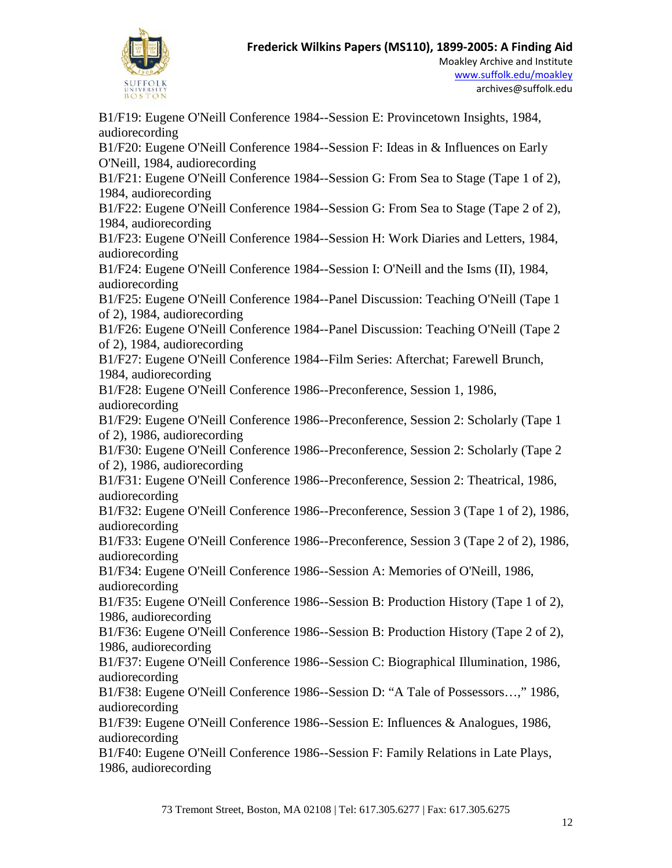

B1/F19: Eugene O'Neill Conference 1984--Session E: Provincetown Insights, 1984, audiorecording B1/F20: Eugene O'Neill Conference 1984--Session F: Ideas in & Influences on Early O'Neill, 1984, audiorecording B1/F21: Eugene O'Neill Conference 1984--Session G: From Sea to Stage (Tape 1 of 2), 1984, audiorecording B1/F22: Eugene O'Neill Conference 1984--Session G: From Sea to Stage (Tape 2 of 2), 1984, audiorecording B1/F23: Eugene O'Neill Conference 1984--Session H: Work Diaries and Letters, 1984, audiorecording B1/F24: Eugene O'Neill Conference 1984--Session I: O'Neill and the Isms (II), 1984, audiorecording B1/F25: Eugene O'Neill Conference 1984--Panel Discussion: Teaching O'Neill (Tape 1 of 2), 1984, audiorecording B1/F26: Eugene O'Neill Conference 1984--Panel Discussion: Teaching O'Neill (Tape 2 of 2), 1984, audiorecording B1/F27: Eugene O'Neill Conference 1984--Film Series: Afterchat; Farewell Brunch, 1984, audiorecording B1/F28: Eugene O'Neill Conference 1986--Preconference, Session 1, 1986, audiorecording B1/F29: Eugene O'Neill Conference 1986--Preconference, Session 2: Scholarly (Tape 1 of 2), 1986, audiorecording B1/F30: Eugene O'Neill Conference 1986--Preconference, Session 2: Scholarly (Tape 2 of 2), 1986, audiorecording B1/F31: Eugene O'Neill Conference 1986--Preconference, Session 2: Theatrical, 1986, audiorecording B1/F32: Eugene O'Neill Conference 1986--Preconference, Session 3 (Tape 1 of 2), 1986, audiorecording B1/F33: Eugene O'Neill Conference 1986--Preconference, Session 3 (Tape 2 of 2), 1986, audiorecording B1/F34: Eugene O'Neill Conference 1986--Session A: Memories of O'Neill, 1986, audiorecording B1/F35: Eugene O'Neill Conference 1986--Session B: Production History (Tape 1 of 2), 1986, audiorecording B1/F36: Eugene O'Neill Conference 1986--Session B: Production History (Tape 2 of 2), 1986, audiorecording B1/F37: Eugene O'Neill Conference 1986--Session C: Biographical Illumination, 1986, audiorecording B1/F38: Eugene O'Neill Conference 1986--Session D: "A Tale of Possessors…," 1986, audiorecording B1/F39: Eugene O'Neill Conference 1986--Session E: Influences & Analogues, 1986, audiorecording B1/F40: Eugene O'Neill Conference 1986--Session F: Family Relations in Late Plays, 1986, audiorecording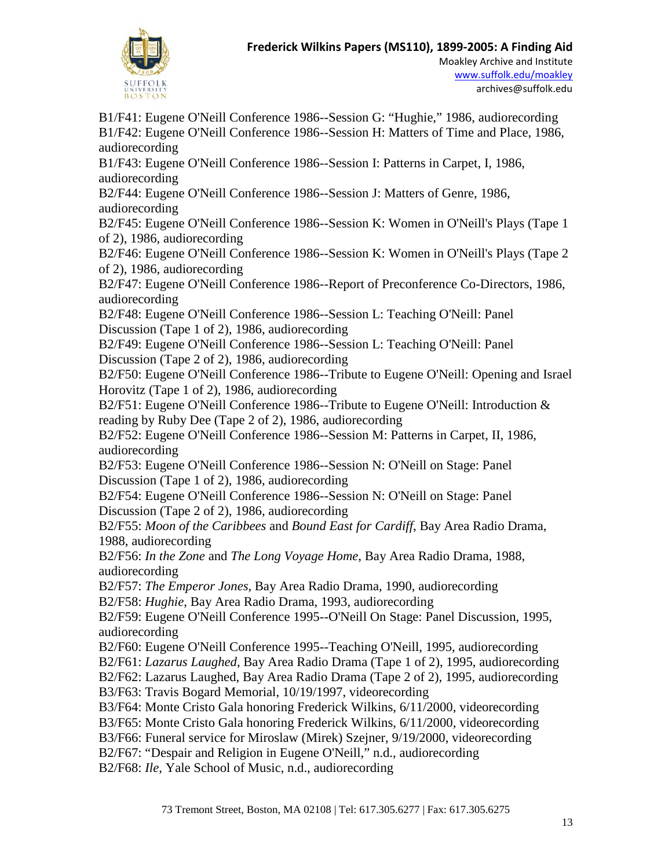

B1/F41: Eugene O'Neill Conference 1986--Session G: "Hughie," 1986, audiorecording B1/F42: Eugene O'Neill Conference 1986--Session H: Matters of Time and Place, 1986, audiorecording

B1/F43: Eugene O'Neill Conference 1986--Session I: Patterns in Carpet, I, 1986, audiorecording

B2/F44: Eugene O'Neill Conference 1986--Session J: Matters of Genre, 1986, audiorecording

B2/F45: Eugene O'Neill Conference 1986--Session K: Women in O'Neill's Plays (Tape 1 of 2), 1986, audiorecording

B2/F46: Eugene O'Neill Conference 1986--Session K: Women in O'Neill's Plays (Tape 2 of 2), 1986, audiorecording

B2/F47: Eugene O'Neill Conference 1986--Report of Preconference Co-Directors, 1986, audiorecording

B2/F48: Eugene O'Neill Conference 1986--Session L: Teaching O'Neill: Panel Discussion (Tape 1 of 2), 1986, audiorecording

B2/F49: Eugene O'Neill Conference 1986--Session L: Teaching O'Neill: Panel Discussion (Tape 2 of 2), 1986, audiorecording

B2/F50: Eugene O'Neill Conference 1986--Tribute to Eugene O'Neill: Opening and Israel Horovitz (Tape 1 of 2), 1986, audiorecording

B2/F51: Eugene O'Neill Conference 1986--Tribute to Eugene O'Neill: Introduction & reading by Ruby Dee (Tape 2 of 2), 1986, audiorecording

B2/F52: Eugene O'Neill Conference 1986--Session M: Patterns in Carpet, II, 1986, audiorecording

B2/F53: Eugene O'Neill Conference 1986--Session N: O'Neill on Stage: Panel Discussion (Tape 1 of 2), 1986, audiorecording

B2/F54: Eugene O'Neill Conference 1986--Session N: O'Neill on Stage: Panel Discussion (Tape 2 of 2), 1986, audiorecording

B2/F55: *Moon of the Caribbees* and *Bound East for Cardiff*, Bay Area Radio Drama, 1988, audiorecording

B2/F56: *In the Zone* and *The Long Voyage Home*, Bay Area Radio Drama, 1988, audiorecording

B2/F57: *The Emperor Jones*, Bay Area Radio Drama, 1990, audiorecording

B2/F58: *Hughie*, Bay Area Radio Drama, 1993, audiorecording

B2/F59: Eugene O'Neill Conference 1995--O'Neill On Stage: Panel Discussion, 1995, audiorecording

- B2/F60: Eugene O'Neill Conference 1995--Teaching O'Neill, 1995, audiorecording
- B2/F61: *Lazarus Laughed*, Bay Area Radio Drama (Tape 1 of 2), 1995, audiorecording

B2/F62: Lazarus Laughed, Bay Area Radio Drama (Tape 2 of 2), 1995, audiorecording

B3/F63: Travis Bogard Memorial, 10/19/1997, videorecording

B3/F64: Monte Cristo Gala honoring Frederick Wilkins, 6/11/2000, videorecording

B3/F65: Monte Cristo Gala honoring Frederick Wilkins, 6/11/2000, videorecording

B3/F66: Funeral service for Miroslaw (Mirek) Szejner, 9/19/2000, videorecording

B2/F67: "Despair and Religion in Eugene O'Neill," n.d., audiorecording

B2/F68: *Ile*, Yale School of Music, n.d., audiorecording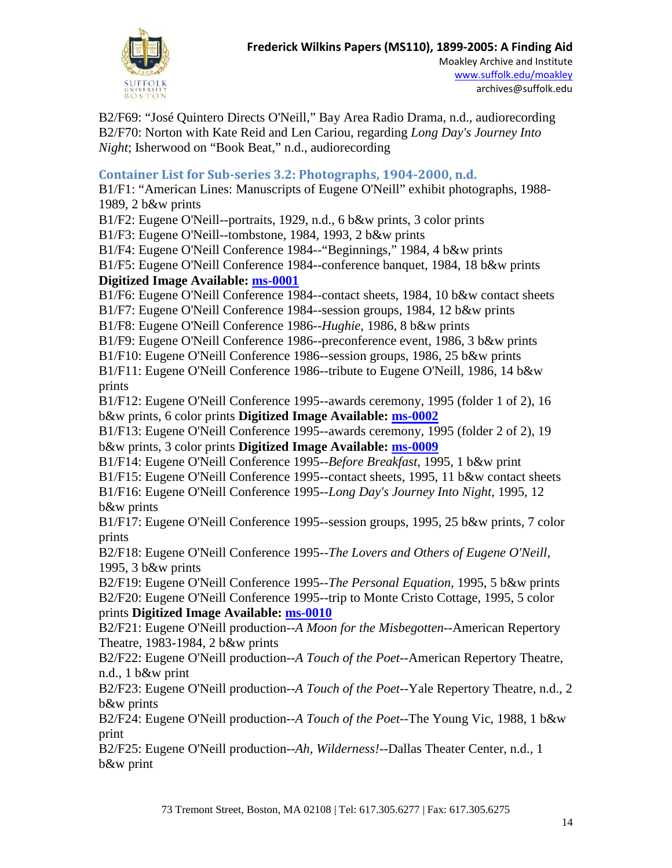

Moakley Archive and Institute [www.suffolk.edu/moakley](file://svr-lawfile/Ahome$/archive/Collection%20Management/Collections/Manuscript%20Collection%20Records/(MS%20110)%20Frederick%20Wilkins%20Papers/www.suffolk.edu/moakley) archives@suffolk.edu

B2/F69: "José Quintero Directs O'Neill," Bay Area Radio Drama, n.d., audiorecording B2/F70: Norton with Kate Reid and Len Cariou, regarding *Long Day's Journey Into Night*; Isherwood on "Book Beat," n.d., audiorecording

### **Container List for Sub-series 3.2: Photographs, 1904-2000, n.d.**

B1/F1: "American Lines: Manuscripts of Eugene O'Neill" exhibit photographs, 1988- 1989, 2 b&w prints

B1/F2: Eugene O'Neill--portraits, 1929, n.d., 6 b&w prints, 3 color prints

B1/F3: Eugene O'Neill--tombstone, 1984, 1993, 2 b&w prints

B1/F4: Eugene O'Neill Conference 1984--"Beginnings," 1984, 4 b&w prints

B1/F5: Eugene O'Neill Conference 1984--conference banquet, 1984, 18 b&w prints **Digitized Image Available: [ms-0001](http://moakleyarchive.omeka.net/items/show/275)**

B1/F6: Eugene O'Neill Conference 1984--contact sheets, 1984, 10 b&w contact sheets

B1/F7: Eugene O'Neill Conference 1984--session groups, 1984, 12 b&w prints

B1/F8: Eugene O'Neill Conference 1986--*Hughie*, 1986, 8 b&w prints

B1/F9: Eugene O'Neill Conference 1986--preconference event, 1986, 3 b&w prints

B1/F10: Eugene O'Neill Conference 1986--session groups, 1986, 25 b&w prints

B1/F11: Eugene O'Neill Conference 1986--tribute to Eugene O'Neill, 1986, 14 b&w prints

B1/F12: Eugene O'Neill Conference 1995--awards ceremony, 1995 (folder 1 of 2), 16 b&w prints, 6 color prints **Digitized Image Available: [ms-0002](http://moakleyarchive.omeka.net/items/show/276)**

B1/F13: Eugene O'Neill Conference 1995--awards ceremony, 1995 (folder 2 of 2), 19 b&w prints, 3 color prints **Digitized Image Available: [ms-0009](http://moakleyarchive.omeka.net/items/show/283)**

B1/F14: Eugene O'Neill Conference 1995--*Before Breakfast*, 1995, 1 b&w print

B1/F15: Eugene O'Neill Conference 1995--contact sheets, 1995, 11 b&w contact sheets

B1/F16: Eugene O'Neill Conference 1995--*Long Day's Journey Into Night*, 1995, 12 b&w prints

B1/F17: Eugene O'Neill Conference 1995--session groups, 1995, 25 b&w prints, 7 color prints

B2/F18: Eugene O'Neill Conference 1995--*The Lovers and Others of Eugene O'Neill*, 1995, 3 b&w prints

B2/F19: Eugene O'Neill Conference 1995--*The Personal Equation*, 1995, 5 b&w prints B2/F20: Eugene O'Neill Conference 1995--trip to Monte Cristo Cottage, 1995, 5 color prints **Digitized Image Available: [ms-0010](http://moakleyarchive.omeka.net/items/show/284)**

B2/F21: Eugene O'Neill production--*A Moon for the Misbegotten*--American Repertory Theatre, 1983-1984, 2 b&w prints

B2/F22: Eugene O'Neill production--*A Touch of the Poet*--American Repertory Theatre, n.d., 1 b&w print

B2/F23: Eugene O'Neill production--*A Touch of the Poet*--Yale Repertory Theatre, n.d., 2 b&w prints

B2/F24: Eugene O'Neill production--*A Touch of the Poet*--The Young Vic, 1988, 1 b&w print

B2/F25: Eugene O'Neill production--*Ah, Wilderness!*--Dallas Theater Center, n.d., 1 b&w print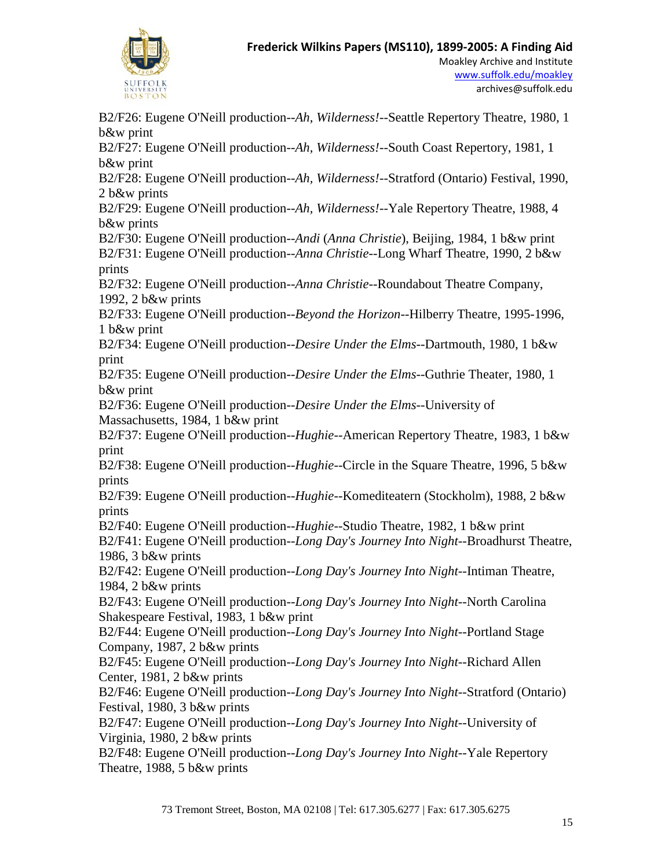

B2/F26: Eugene O'Neill production--*Ah, Wilderness!*--Seattle Repertory Theatre, 1980, 1 b&w print B2/F27: Eugene O'Neill production--*Ah, Wilderness!*--South Coast Repertory, 1981, 1 b&w print B2/F28: Eugene O'Neill production--*Ah, Wilderness!*--Stratford (Ontario) Festival, 1990, 2 b&w prints B2/F29: Eugene O'Neill production--*Ah, Wilderness!*--Yale Repertory Theatre, 1988, 4 b&w prints B2/F30: Eugene O'Neill production--*Andi* (*Anna Christie*), Beijing, 1984, 1 b&w print B2/F31: Eugene O'Neill production--*Anna Christie*--Long Wharf Theatre, 1990, 2 b&w prints B2/F32: Eugene O'Neill production--*Anna Christie*--Roundabout Theatre Company, 1992, 2 b&w prints B2/F33: Eugene O'Neill production--*Beyond the Horizon*--Hilberry Theatre, 1995-1996, 1 b&w print B2/F34: Eugene O'Neill production--*Desire Under the Elms*--Dartmouth, 1980, 1 b&w print B2/F35: Eugene O'Neill production--*Desire Under the Elms*--Guthrie Theater, 1980, 1 b&w print B2/F36: Eugene O'Neill production--*Desire Under the Elms*--University of Massachusetts, 1984, 1 b&w print B2/F37: Eugene O'Neill production--*Hughie*--American Repertory Theatre, 1983, 1 b&w print B2/F38: Eugene O'Neill production--*Hughie*--Circle in the Square Theatre, 1996, 5 b&w prints B2/F39: Eugene O'Neill production--*Hughie*--Komediteatern (Stockholm), 1988, 2 b&w prints B2/F40: Eugene O'Neill production--*Hughie*--Studio Theatre, 1982, 1 b&w print B2/F41: Eugene O'Neill production--*Long Day's Journey Into Night*--Broadhurst Theatre, 1986, 3 b&w prints B2/F42: Eugene O'Neill production--*Long Day's Journey Into Night*--Intiman Theatre, 1984, 2 b&w prints B2/F43: Eugene O'Neill production--*Long Day's Journey Into Night*--North Carolina Shakespeare Festival, 1983, 1 b&w print B2/F44: Eugene O'Neill production--*Long Day's Journey Into Night*--Portland Stage Company, 1987, 2 b&w prints B2/F45: Eugene O'Neill production--*Long Day's Journey Into Night*--Richard Allen Center, 1981, 2 b&w prints B2/F46: Eugene O'Neill production--*Long Day's Journey Into Night*--Stratford (Ontario) Festival, 1980, 3 b&w prints B2/F47: Eugene O'Neill production--*Long Day's Journey Into Night*--University of Virginia, 1980, 2 b&w prints B2/F48: Eugene O'Neill production--*Long Day's Journey Into Night*--Yale Repertory Theatre, 1988, 5 b&w prints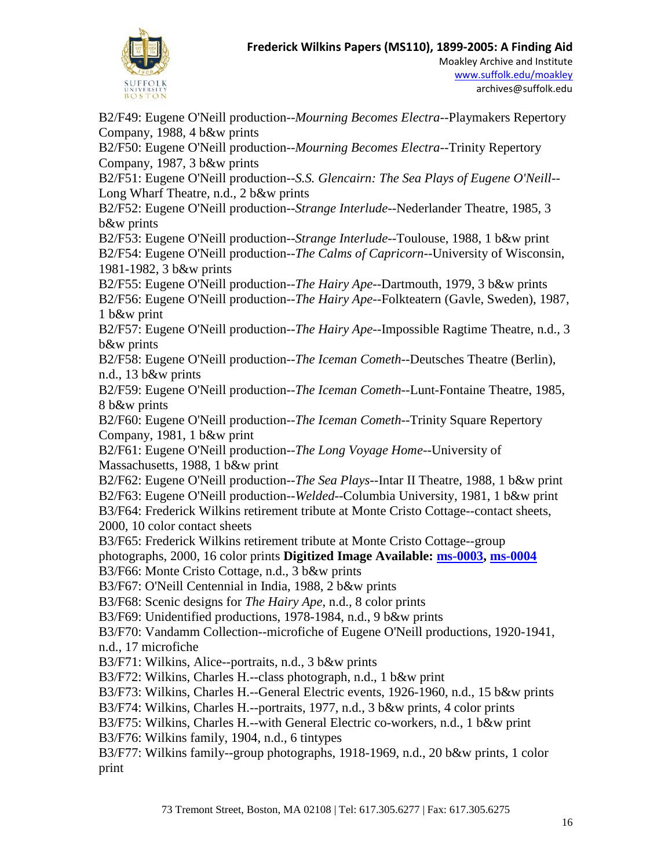

Moakley Archive and Institute [www.suffolk.edu/moakley](file://svr-lawfile/Ahome$/archive/Collection%20Management/Collections/Manuscript%20Collection%20Records/(MS%20110)%20Frederick%20Wilkins%20Papers/www.suffolk.edu/moakley) archives@suffolk.edu

B2/F49: Eugene O'Neill production--*Mourning Becomes Electra*--Playmakers Repertory Company, 1988, 4 b&w prints B2/F50: Eugene O'Neill production--*Mourning Becomes Electra*--Trinity Repertory Company, 1987, 3 b&w prints B2/F51: Eugene O'Neill production--*S.S. Glencairn: The Sea Plays of Eugene O'Neill*-- Long Wharf Theatre, n.d., 2 b&w prints B2/F52: Eugene O'Neill production--*Strange Interlude*--Nederlander Theatre, 1985, 3 b&w prints B2/F53: Eugene O'Neill production--*Strange Interlude*--Toulouse, 1988, 1 b&w print B2/F54: Eugene O'Neill production--*The Calms of Capricorn*--University of Wisconsin, 1981-1982, 3 b&w prints B2/F55: Eugene O'Neill production--*The Hairy Ape*--Dartmouth, 1979, 3 b&w prints B2/F56: Eugene O'Neill production--*The Hairy Ape*--Folkteatern (Gavle, Sweden), 1987, 1 b&w print B2/F57: Eugene O'Neill production--*The Hairy Ape*--Impossible Ragtime Theatre, n.d., 3 b&w prints B2/F58: Eugene O'Neill production--*The Iceman Cometh*--Deutsches Theatre (Berlin), n.d., 13 b&w prints B2/F59: Eugene O'Neill production--*The Iceman Cometh*--Lunt-Fontaine Theatre, 1985, 8 b&w prints B2/F60: Eugene O'Neill production--*The Iceman Cometh*--Trinity Square Repertory Company, 1981, 1 b&w print B2/F61: Eugene O'Neill production--*The Long Voyage Home*--University of Massachusetts, 1988, 1 b&w print B2/F62: Eugene O'Neill production--*The Sea Plays*--Intar II Theatre, 1988, 1 b&w print B2/F63: Eugene O'Neill production--*Welded*--Columbia University, 1981, 1 b&w print B3/F64: Frederick Wilkins retirement tribute at Monte Cristo Cottage--contact sheets, 2000, 10 color contact sheets B3/F65: Frederick Wilkins retirement tribute at Monte Cristo Cottage--group photographs, 2000, 16 color prints **Digitized Image Available: [ms-0003,](http://moakleyarchive.omeka.net/items/show/277) [ms-0004](http://moakleyarchive.omeka.net/items/show/278)** B3/F66: Monte Cristo Cottage, n.d., 3 b&w prints B3/F67: O'Neill Centennial in India, 1988, 2 b&w prints B3/F68: Scenic designs for *The Hairy Ape*, n.d., 8 color prints B3/F69: Unidentified productions, 1978-1984, n.d., 9 b&w prints B3/F70: Vandamm Collection--microfiche of Eugene O'Neill productions, 1920-1941, n.d., 17 microfiche B3/F71: Wilkins, Alice--portraits, n.d., 3 b&w prints B3/F72: Wilkins, Charles H.--class photograph, n.d., 1 b&w print B3/F73: Wilkins, Charles H.--General Electric events, 1926-1960, n.d., 15 b&w prints B3/F74: Wilkins, Charles H.--portraits, 1977, n.d., 3 b&w prints, 4 color prints B3/F75: Wilkins, Charles H.--with General Electric co-workers, n.d., 1 b&w print B3/F76: Wilkins family, 1904, n.d., 6 tintypes B3/F77: Wilkins family--group photographs, 1918-1969, n.d., 20 b&w prints, 1 color print